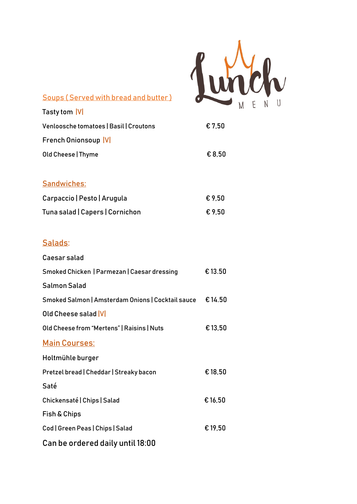

| Soups (Served with bread and butter) |  |
|--------------------------------------|--|

| Tasty tom  V                           |        |
|----------------------------------------|--------|
| Venloosche tomatoes   Basil   Croutons | € 7.50 |
| <b>French Onionsoup VI</b>             |        |
| Old Cheese   Thyme                     | € 8.50 |
|                                        |        |
| <b>Sandwiches:</b>                     |        |

| Carpaccio   Pesto   Arugula     | €9.50  |
|---------------------------------|--------|
| Tuna salad   Capers   Cornichon | € 9.50 |

## Salads:

| Caesar salad                                      |         |
|---------------------------------------------------|---------|
| Smoked Chicken   Parmezan   Caesar dressing       | €13.50  |
| <b>Salmon Salad</b>                               |         |
| Smoked Salmon   Amsterdam Onions   Cocktail sauce | €14.50  |
| Old Cheese salad V                                |         |
| Old Cheese from "Mertens"   Raisins   Nuts        | € 13,50 |
| <b>Main Courses:</b>                              |         |
| Holtmühle burger                                  |         |
| Pretzel bread   Cheddar   Streaky bacon           | €18,50  |
| Saté                                              |         |
| Chickensaté   Chips   Salad                       | € 16,50 |
| Fish & Chips                                      |         |
| Cod   Green Peas   Chips   Salad                  | €19,50  |
| Can be ordered daily until 18:00                  |         |